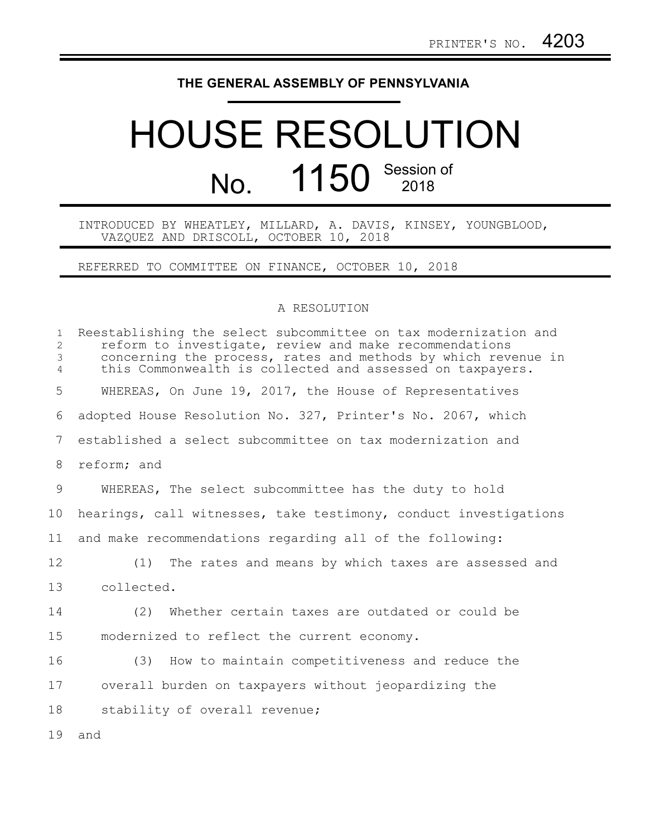## **THE GENERAL ASSEMBLY OF PENNSYLVANIA**

## HOUSE RESOLUTION No. 1150 Session of

INTRODUCED BY WHEATLEY, MILLARD, A. DAVIS, KINSEY, YOUNGBLOOD, VAZQUEZ AND DRISCOLL, OCTOBER 10, 2018

REFERRED TO COMMITTEE ON FINANCE, OCTOBER 10, 2018

## A RESOLUTION

| $\mathbf{1}$<br>2<br>3<br>$\overline{4}$ | Reestablishing the select subcommittee on tax modernization and<br>reform to investigate, review and make recommendations<br>concerning the process, rates and methods by which revenue in<br>this Commonwealth is collected and assessed on taxpayers. |
|------------------------------------------|---------------------------------------------------------------------------------------------------------------------------------------------------------------------------------------------------------------------------------------------------------|
| 5                                        | WHEREAS, On June 19, 2017, the House of Representatives                                                                                                                                                                                                 |
| 6                                        | adopted House Resolution No. 327, Printer's No. 2067, which                                                                                                                                                                                             |
| 7                                        | established a select subcommittee on tax modernization and                                                                                                                                                                                              |
| 8                                        | reform; and                                                                                                                                                                                                                                             |
| 9                                        | WHEREAS, The select subcommittee has the duty to hold                                                                                                                                                                                                   |
| 10                                       | hearings, call witnesses, take testimony, conduct investigations                                                                                                                                                                                        |
| 11                                       | and make recommendations regarding all of the following:                                                                                                                                                                                                |
| 12                                       | The rates and means by which taxes are assessed and<br>(1)                                                                                                                                                                                              |
| 13                                       | collected.                                                                                                                                                                                                                                              |
| 14                                       | Whether certain taxes are outdated or could be<br>(2)                                                                                                                                                                                                   |
| 15                                       | modernized to reflect the current economy.                                                                                                                                                                                                              |
| 16                                       | (3) How to maintain competitiveness and reduce the                                                                                                                                                                                                      |
| 17                                       | overall burden on taxpayers without jeopardizing the                                                                                                                                                                                                    |
| 18                                       | stability of overall revenue;                                                                                                                                                                                                                           |
| 19                                       | and                                                                                                                                                                                                                                                     |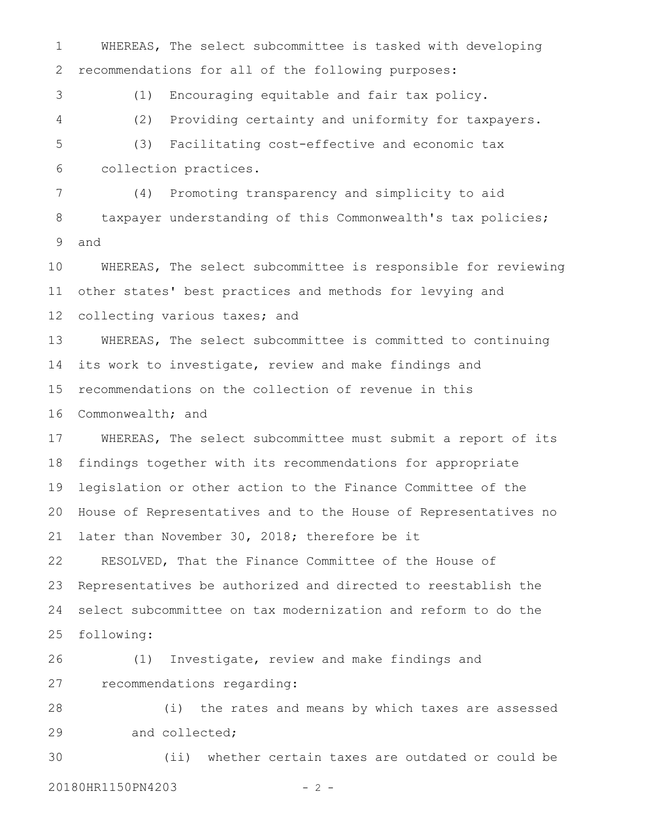WHEREAS, The select subcommittee is tasked with developing recommendations for all of the following purposes: (1) Encouraging equitable and fair tax policy. (2) Providing certainty and uniformity for taxpayers. (3) Facilitating cost-effective and economic tax collection practices. (4) Promoting transparency and simplicity to aid taxpayer understanding of this Commonwealth's tax policies; and WHEREAS, The select subcommittee is responsible for reviewing other states' best practices and methods for levying and collecting various taxes; and WHEREAS, The select subcommittee is committed to continuing its work to investigate, review and make findings and recommendations on the collection of revenue in this Commonwealth; and WHEREAS, The select subcommittee must submit a report of its findings together with its recommendations for appropriate legislation or other action to the Finance Committee of the House of Representatives and to the House of Representatives no later than November 30, 2018; therefore be it RESOLVED, That the Finance Committee of the House of Representatives be authorized and directed to reestablish the select subcommittee on tax modernization and reform to do the following: (1) Investigate, review and make findings and recommendations regarding: (i) the rates and means by which taxes are assessed and collected; (ii) whether certain taxes are outdated or could be 20180HR1150PN4203 - 2 -2 3 4 5 6 7 8 9 10 11 12 13 14 15 16 17 18 19 20 21 22 23 24 25 26 27 28 29 30

1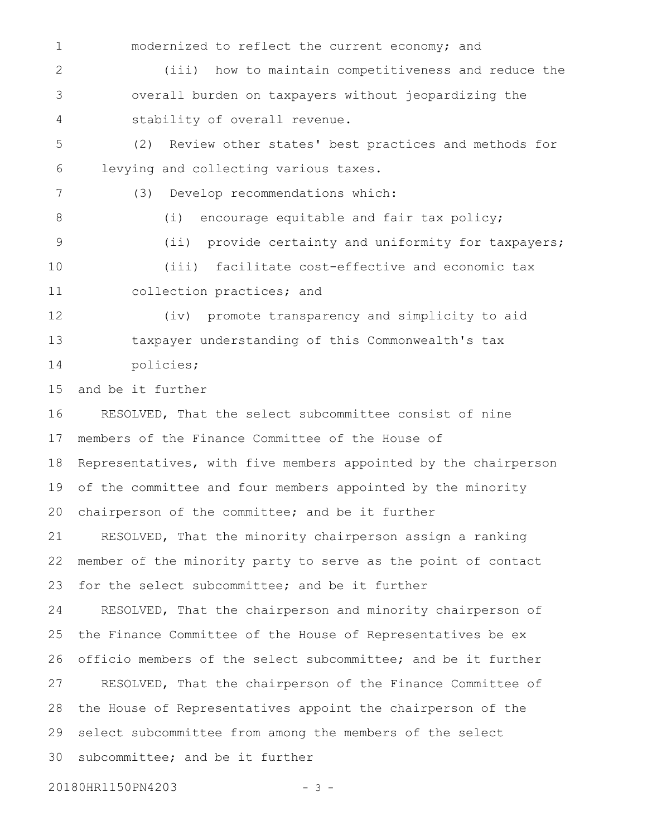modernized to reflect the current economy; and (iii) how to maintain competitiveness and reduce the overall burden on taxpayers without jeopardizing the stability of overall revenue. (2) Review other states' best practices and methods for levying and collecting various taxes. (3) Develop recommendations which: (i) encourage equitable and fair tax policy; (ii) provide certainty and uniformity for taxpayers; (iii) facilitate cost-effective and economic tax collection practices; and (iv) promote transparency and simplicity to aid 1 2 3 4 5 6 7 8 9 10 11 12

taxpayer understanding of this Commonwealth's tax policies; 13 14

and be it further 15

RESOLVED, That the select subcommittee consist of nine members of the Finance Committee of the House of Representatives, with five members appointed by the chairperson of the committee and four members appointed by the minority chairperson of the committee; and be it further RESOLVED, That the minority chairperson assign a ranking member of the minority party to serve as the point of contact for the select subcommittee; and be it further RESOLVED, That the chairperson and minority chairperson of the Finance Committee of the House of Representatives be ex officio members of the select subcommittee; and be it further RESOLVED, That the chairperson of the Finance Committee of the House of Representatives appoint the chairperson of the select subcommittee from among the members of the select subcommittee; and be it further 16 17 18 19 20 21 22 23 24 25 26 27 28 29 30

20180HR1150PN4203 - 3 -